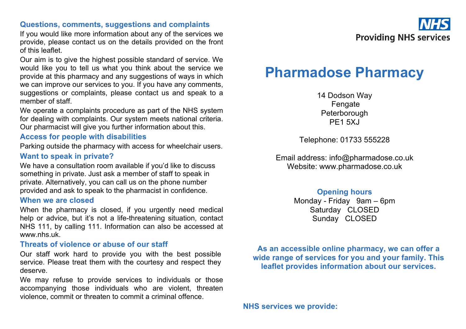## **Questions, comments, suggestions and complaints**

If you would like more information about any of the services we provide, please contact us on the details provided on the front of this leaflet.

Our aim is to give the highest possible standard of service. We would like you to tell us what you think about the service we provide at this pharmacy and any suggestions of ways in which we can improve our services to you. If you have any comments, suggestions or complaints, please contact us and speak to a member of staff.

We operate a complaints procedure as part of the NHS system for dealing with complaints. Our system meets national criteria. Our pharmacist will give you further information about this.

## **Access for people with disabilities**

Parking outside the pharmacy with access for wheelchair users. **Want to speak in private?**

We have a consultation room available if you'd like to discuss something in private. Just ask a member of staff to speak in private. Alternatively, you can call us on the phone number provided and ask to speak to the pharmacist in confidence.

#### **When we are closed**

When the pharmacy is closed, if you urgently need medical help or advice, but it's not a life-threatening situation, contact NHS 111, by calling 111. Information can also be accessed at www.nhs.uk.

## **Threats of violence or abuse of our staff**

Our staff work hard to provide you with the best possible service. Please treat them with the courtesy and respect they deserve.

We may refuse to provide services to individuals or those accompanying those individuals who are violent, threaten violence, commit or threaten to commit a criminal offence.



# **Pharmadose Pharmacy**

14 Dodson Way Fengate Peterborough **PF1 5XJ** 

Telephone: 01733 555228

Email address: info@pharmadose.co.uk Website: www.pharmadose.co.uk

# **Opening hours**

Monday - Friday 9am – 6pm Saturday CLOSED Sunday CLOSED

**As an accessible online pharmacy, we can offer a wide range of services for you and your family. This leaflet provides information about our services.**

**NHS services we provide:**